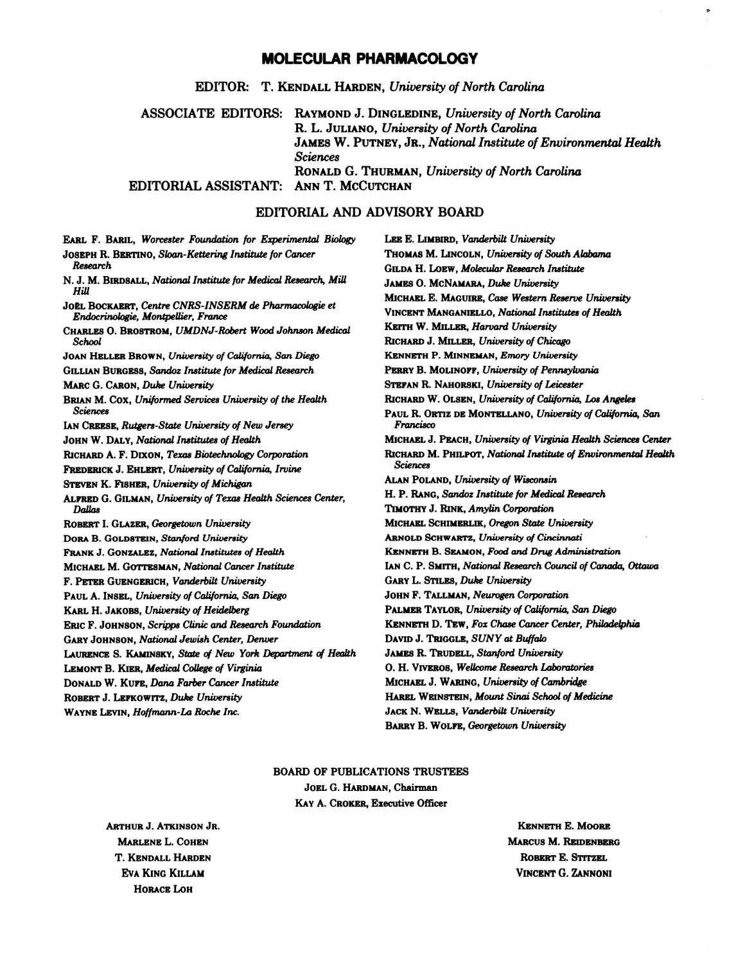## **MOLECULAR PHARMACOLOGY**

EDITOR: T. KENDALL HARDEN, *University of North Carolina*

ASSOCIATE EDITORS: RAYMOND J. DINGLEDINE, *University of North Carolina* EDITORIAL ASSISTANT: ANN T. MCCUTCHAN R. L. JULIANO, *University of North Carolina* JAMES W. PUTNEY, JR., *National Institute of Environmental Health Sciences* RONALD *G.*THURMAN, *University of North Carolina*

## EDITORIAL AND ADVISORY BOARD

| EARL F. BARIL, Worcester Foundation for Experimental Biology             | LEE E. LIMBIRD, Vanderbilt University                                      |
|--------------------------------------------------------------------------|----------------------------------------------------------------------------|
| JOSEPH R. BERTINO, Sloan-Kettering Institute for Cancer                  | THOMAS M. LINCOLN, University of South Alabama                             |
| Research                                                                 | GILDA H. LOEW, Molecular Research Institute                                |
| N. J. M. BIRDSALL, National Institute for Medical Research, Mill<br>Hill | JAMES O. MCNAMARA, Duke University                                         |
| JOEL BOCKAERT, Centre CNRS-INSERM de Pharmacologie et                    | MICHAEL E. MAGUIRE, Case Western Reserve University                        |
| Endocrinologie, Montpellier, France                                      | <b>VINCENT MANGANIELLO, National Institutes of Health</b>                  |
| CHARLES O. BROSTROM, UMDNJ-Robert Wood Johnson Medical                   | KEITH W. MILLER, Harvard University                                        |
| School                                                                   | RICHARD J. MILLER, University of Chicago                                   |
| JOAN HELLER BROWN, University of California, San Diego                   | KENNETH P. MINNEMAN, Emory University                                      |
| GILLIAN BURGESS, Sandoz Institute for Medical Research                   | PERRY B. MOLINOFF, University of Pennsylvania                              |
| MARC G. CARON, Duke University                                           | STEPAN R. NAHORSKI, University of Leicester                                |
| BRIAN M. COX, Uniformed Services University of the Health                | RICHARD W. OLSEN, University of California, Los Angeles                    |
| <b>Sciences</b>                                                          | PAUL R. ORTIZ DE MONTELLANO, University of California, San                 |
| IAN CREESE, Rutgers-State University of New Jersey                       | Francisco                                                                  |
| JOHN W. DALY, National Institutes of Health                              | MICHAEL J. PEACH, University of Virginia Health Sciences Center            |
| RICHARD A. F. DIXON, Texas Biotechnology Corporation                     | RICHARD M. PHILPOT, National Institute of Environmental Health<br>Sciences |
| FREDERICK J. EHLERT, University of California, Irvine                    | ALAN POLAND, University of Wisconsin                                       |
| <b>STEVEN K. FISHER, University of Michigan</b>                          | H. P. RANG, Sandoz Institute for Medical Research                          |
| ALFRED G. GILMAN, University of Texas Health Sciences Center,<br>Dallas  | TIMOTHY J. RINK, Amylin Corporation                                        |
| ROBERT I. GLAZER, Georgetown University                                  | MICHAEL SCHIMERLIK, Oregon State University                                |
| DORA B. GOLDSTEIN, Stanford University                                   | ARNOLD SCHWARTZ, University of Cincinnati                                  |
| <b>FRANK J. GONZALEZ, National Institutes of Health</b>                  | KENNETH B. SEAMON, Food and Drug Administration                            |
| MICHAEL M. GOTTESMAN, National Cancer Institute                          | IAN C. P. SMITH, National Research Council of Canada, Ottawa               |
| F. PETER GUENGERICH, Vanderbilt University                               | <b>GARY L. STILES, Duke University</b>                                     |
| PAUL A. INSEL, University of California, San Diego                       | JOHN F. TALLMAN, Neurogen Corporation                                      |
| KARL H. JAKOBS, University of Heidelberg                                 | PALMER TAYLOR, University of California, San Diego                         |
| <b>ERIC F. JOHNSON, Scripps Clinic and Research Foundation</b>           | KENNETH D. TEW, Fox Chase Cancer Center, Philadelphia                      |
| <b>GARY JOHNSON, National Jewish Center, Denver</b>                      | DAVID J. TRIGGLE, SUNY at Buffalo                                          |
| LAURENCE S. KAMINSKY, State of New York Department of Health             | <b>JAMES R. TRUDELL, Stanford University</b>                               |
| <b>LEMONT B. KIER, Medical College of Virginia</b>                       | O. H. VIVEROS, Wellcome Research Laboratories                              |
| DONALD W. KUFE, Dana Farber Cancer Institute                             | MICHAEL J. WARING, University of Cambridge                                 |
| ROBERT J. LEFKOWITZ, Duke University                                     | HAREL WEINSTEIN, Mount Sinai School of Medicine                            |
| WAYNE LEVIN, Hoffmann-La Roche Inc.                                      | JACK N. WELLS, Vanderbilt University                                       |
|                                                                          | BARRY B. WOLFE, Georgetown University                                      |
|                                                                          |                                                                            |

# BOARD OF PUBLICATIONS TRUSTEES

**JOEL** G.**HARDMAN,** Chairman **KAY** A. **CROKER,** Executive Officer

**HORACE LOH ARTHUR** J. **ATKINSON JR. MARLENE** L. **COHEN** T. **KENDALL HARDEN EVA KING KILLAM**

**KENNETH** E. **MOORE MARCUS** M. **REIDENBERG ROBERT** E. STITZEL **VINCENT** G. ZANNONI